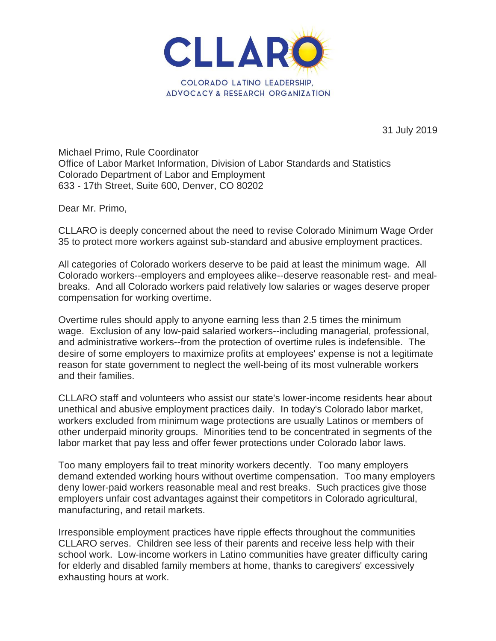

31 July 2019

Michael Primo, Rule Coordinator Office of Labor Market Information, Division of Labor Standards and Statistics Colorado Department of Labor and Employment 633 - 17th Street, Suite 600, Denver, CO 80202

Dear Mr. Primo,

CLLARO is deeply concerned about the need to revise Colorado Minimum Wage Order 35 to protect more workers against sub-standard and abusive employment practices.

All categories of Colorado workers deserve to be paid at least the minimum wage. All Colorado workers--employers and employees alike--deserve reasonable rest- and mealbreaks. And all Colorado workers paid relatively low salaries or wages deserve proper compensation for working overtime.

Overtime rules should apply to anyone earning less than 2.5 times the minimum wage. Exclusion of any low-paid salaried workers--including managerial, professional, and administrative workers--from the protection of overtime rules is indefensible. The desire of some employers to maximize profits at employees' expense is not a legitimate reason for state government to neglect the well-being of its most vulnerable workers and their families.

CLLARO staff and volunteers who assist our state's lower-income residents hear about unethical and abusive employment practices daily. In today's Colorado labor market, workers excluded from minimum wage protections are usually Latinos or members of other underpaid minority groups. Minorities tend to be concentrated in segments of the labor market that pay less and offer fewer protections under Colorado labor laws.

Too many employers fail to treat minority workers decently. Too many employers demand extended working hours without overtime compensation. Too many employers deny lower-paid workers reasonable meal and rest breaks. Such practices give those employers unfair cost advantages against their competitors in Colorado agricultural, manufacturing, and retail markets.

Irresponsible employment practices have ripple effects throughout the communities CLLARO serves. Children see less of their parents and receive less help with their school work. Low-income workers in Latino communities have greater difficulty caring for elderly and disabled family members at home, thanks to caregivers' excessively exhausting hours at work.